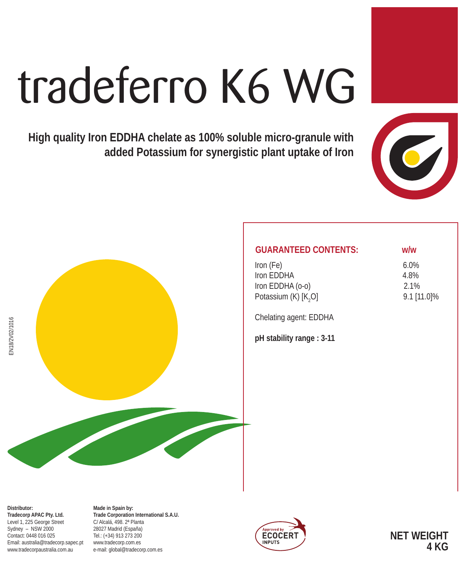# tradeferro K6 WG

**High quality Iron EDDHA chelate as 100% soluble micro-granule with added Potassium for synergistic plant uptake of Iron**





| <b>GUARANTEED CONTENTS:</b>      | w/w         |  |
|----------------------------------|-------------|--|
| Iron (Fe)                        | $6.0\%$     |  |
| Iron FDDHA                       | 4.8%        |  |
| Iron EDDHA (0-0)                 | 2.1%        |  |
| Potassium (K) [K <sub>2</sub> O] | 9.1 [11.0]% |  |
|                                  |             |  |

Chelating agent: EDDHA

**pH stability range : 3-11**

**Distributor: Tradecorp APAC Pty. Ltd.** Level 1, 225 George Street Sydney – NSW 2000 Contact: 0448 016 025 Email: australia@tradecorp.sapec.pt www.tradecorpaustralia.com.au

**Made in Spain by: Trade Corporation International S.A.U.** C/ Alcalá, 498. 2ª Planta 28027 Madrid (España) Tel.: (+34) 913 273 200 www.tradecorp.com.es e-mail: global@tradecorp.com.es



**NET WEIGHT 4 KG**